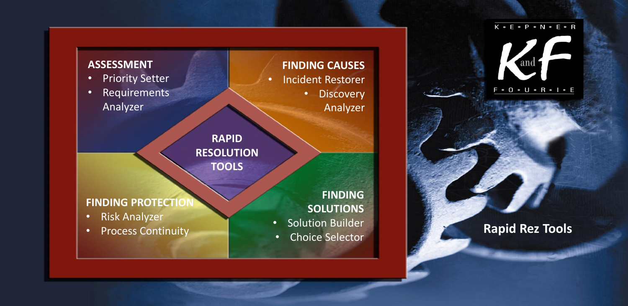### $K \cdot E \cdot P \cdot N \cdot E \cdot R$ and  $F \cdot 0 \cdot U \cdot R \cdot I \cdot E$

### • Process Continuity **Rapid Rez Tools**



**TOOLS**

**FINDING PROTECTION**

- Risk Analyzer
- 

**FINDING SOLUTIONS**

- Solution Builder
- Choice Selector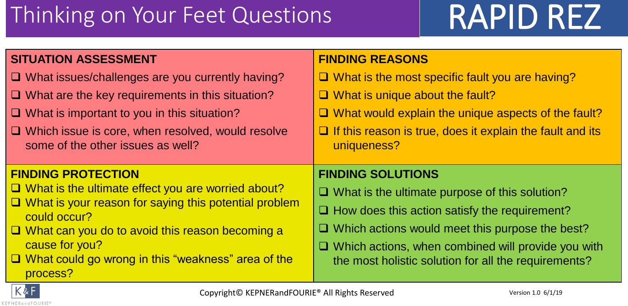## Thinking on Your Feet Questions | RAPID REZ

### **SITUATION ASSESSMENT**

- ❑ What issues/challenges are you currently having?
- ❑ What are the key requirements in this situation?
- ❑ What is important to you in this situation?
- ❑ Which issue is core, when resolved, would resolve some of the other issues as well?

### **FINDING PROTECTION**

- ❑ What is the ultimate effect you are worried about?
- ❑ What is your reason for saying this potential problem could occur?
- ❑ What can you do to avoid this reason becoming a cause for you?
- ❑ What could go wrong in this "weakness" area of the process?

### **FINDING REASONS**

- ❑ What is the most specific fault you are having?
- ❑ What is unique about the fault?
- ❑ What would explain the unique aspects of the fault?
- ❑ If this reason is true, does it explain the fault and its uniqueness?

### **FINDING SOLUTIONS**

- ❑ What is the ultimate purpose of this solution?
- ❑ How does this action satisfy the requirement?
- ❑ Which actions would meet this purpose the best?
- ❑ Which actions, when combined will provide you with the most holistic solution for all the requirements?

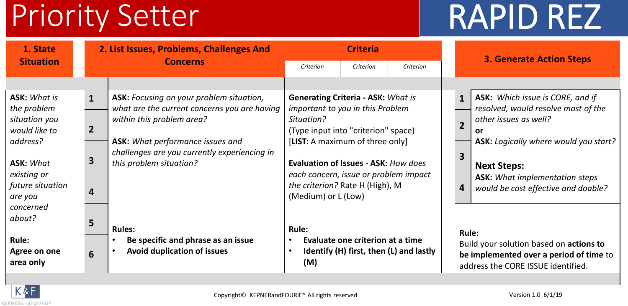# Priority Setter RAPID REZ

| 1. State                                                             |                                | 2. List Issues, Problems, Challenges And                                                                              |                                                                                                                                    | <b>Criteria</b>                  |                                         |                                | <b>3. Generate Action Steps</b>                                                                                                          |  |  |
|----------------------------------------------------------------------|--------------------------------|-----------------------------------------------------------------------------------------------------------------------|------------------------------------------------------------------------------------------------------------------------------------|----------------------------------|-----------------------------------------|--------------------------------|------------------------------------------------------------------------------------------------------------------------------------------|--|--|
| <b>Situation</b>                                                     |                                | <b>Concerns</b>                                                                                                       | Criterion<br>Criterion<br>Criterion                                                                                                |                                  |                                         |                                |                                                                                                                                          |  |  |
|                                                                      |                                |                                                                                                                       |                                                                                                                                    |                                  |                                         |                                |                                                                                                                                          |  |  |
| <b>ASK: What is</b><br>the problem<br>situation you<br>would like to | $\mathbf{1}$<br>$\overline{2}$ | ASK: Focusing on your problem situation,<br>what are the current concerns you are having<br>within this problem area? | <b>Generating Criteria - ASK: What is</b><br>important to you in this Problem<br>Situation?<br>(Type input into "criterion" space) |                                  |                                         | $\mathbf{1}$<br>$\overline{2}$ | <b>ASK:</b> Which issue is CORE, and if<br>resolved, would resolve most of the<br>other issues as well?<br><b>or</b>                     |  |  |
| address?<br><b>ASK: What</b>                                         | 3                              | <b>ASK:</b> What performance issues and<br>challenges are you currently experiencing in<br>this problem situation?    | [LIST: A maximum of three only]<br>Evaluation of Issues - ASK: How does                                                            |                                  |                                         | 3                              | <b>ASK:</b> Logically where would you start?<br><b>Next Steps:</b>                                                                       |  |  |
| existing or<br>future situation<br>are you<br>concerned              | 4                              |                                                                                                                       | each concern, issue or problem impact<br>the criterion? Rate H (High), M<br>(Medium) or L (Low)                                    |                                  |                                         | 4                              | <b>ASK:</b> What implementation steps<br>would be cost effective and doable?                                                             |  |  |
| about?<br><b>Rule:</b><br>Agree on one<br>area only                  | 5<br>6                         | <b>Rules:</b><br>Be specific and phrase as an issue<br><b>Avoid duplication of issues</b>                             | <b>Rule:</b><br>(M)                                                                                                                | Evaluate one criterion at a time | Identify (H) first, then (L) and lastly |                                | <b>Rule:</b><br>Build your solution based on actions to<br>be implemented over a period of time to<br>address the CORE ISSUE identified. |  |  |

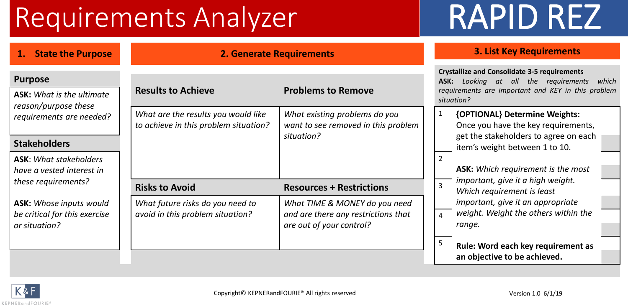## Requirements Analyzer RAPID REZ

| <b>Purpose</b> |
|----------------|
|----------------|

### **Stakeholders**

| 1. State the Purpose                                                            |                                                                              | <b>2. Generate Requirements</b>                                                                  |                                                                 | <b>3. List Key Requirements</b>                                                 |  |  |  |  |
|---------------------------------------------------------------------------------|------------------------------------------------------------------------------|--------------------------------------------------------------------------------------------------|-----------------------------------------------------------------|---------------------------------------------------------------------------------|--|--|--|--|
| <sup>2</sup> urpose<br><b>ASK:</b> What is the ultimate                         | <b>Results to Achieve</b>                                                    | <b>Problems to Remove</b>                                                                        |                                                                 |                                                                                 |  |  |  |  |
| eason/purpose these<br>equirements are needed?                                  | What are the results you would like<br>to achieve in this problem situation? | What existing problems do you<br>want to see removed in this problem                             |                                                                 | {OPTIONAL} Determine Weights:<br>Once you have the key requireme                |  |  |  |  |
| <b>Stakeholders</b>                                                             |                                                                              | situation?                                                                                       |                                                                 | get the stakeholders to agree on a<br>item's weight between 1 to 10.            |  |  |  |  |
| <b>ASK</b> : What stakeholders<br>nave a vested interest in                     |                                                                              | $\overline{2}$                                                                                   | <b>ASK:</b> Which requirement is the mo                         |                                                                                 |  |  |  |  |
| hese requirements?                                                              | <b>Risks to Avoid</b>                                                        | $\overline{3}$                                                                                   | important, give it a high weight.<br>Which requirement is least |                                                                                 |  |  |  |  |
| <b>ASK:</b> Whose inputs would<br>e critical for this exercise<br>or situation? | What future risks do you need to<br>avoid in this problem situation?         | What TIME & MONEY do you need<br>and are there any restrictions that<br>are out of your control? |                                                                 | important, give it an appropriate<br>weight. Weight the others within<br>range. |  |  |  |  |
|                                                                                 |                                                                              |                                                                                                  | 5                                                               | Rule: Word each key requirement<br>an objective to be achieved                  |  |  |  |  |

|                    | ASK:           | <b>Crystallize and Consolidate 3-5 requirements</b><br>Looking at all the requirements<br>requirements are important and KEY in this problem<br>situation? | which |
|--------------------|----------------|------------------------------------------------------------------------------------------------------------------------------------------------------------|-------|
| U                  | 1              | {OPTIONAL} Determine Weights:                                                                                                                              |       |
| oblem <sup>.</sup> |                | Once you have the key requirements,                                                                                                                        |       |
|                    |                | get the stakeholders to agree on each                                                                                                                      |       |
|                    |                | item's weight between 1 to 10.                                                                                                                             |       |
|                    | $\overline{2}$ |                                                                                                                                                            |       |
|                    |                | <b>ASK:</b> Which requirement is the most                                                                                                                  |       |
|                    | 3              | important, give it a high weight.                                                                                                                          |       |
|                    |                | Which requirement is least                                                                                                                                 |       |
| need               |                | important, give it an appropriate                                                                                                                          |       |
| that               | 4              | weight. Weight the others within the                                                                                                                       |       |
|                    |                | range.                                                                                                                                                     |       |
|                    | 5              |                                                                                                                                                            |       |
|                    |                | Rule: Word each key requirement as                                                                                                                         |       |
|                    |                | an objective to be achieved.                                                                                                                               |       |

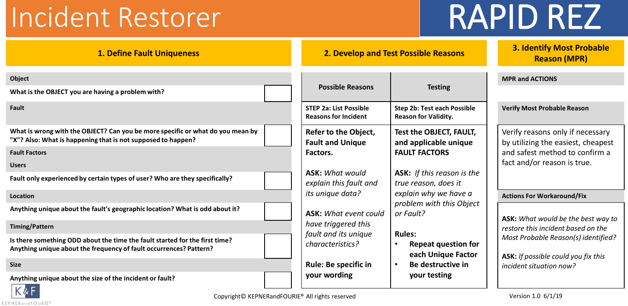# Incident Restorer RAPID REZ

| <b>1. Define Fault Uniqueness</b>                                                                                                                 |  | 2. Develop and Test Possible Reasons                         | <b>3. Identify Most Probable</b><br><b>Reason (MPR)</b>                        |                                                                            |  |  |  |
|---------------------------------------------------------------------------------------------------------------------------------------------------|--|--------------------------------------------------------------|--------------------------------------------------------------------------------|----------------------------------------------------------------------------|--|--|--|
| <b>Object</b><br>What is the OBJECT you are having a problem with?                                                                                |  | <b>Possible Reasons</b>                                      | <b>Testing</b>                                                                 | <b>MPR and ACTIONS</b>                                                     |  |  |  |
| Fault                                                                                                                                             |  | <b>STEP 2a: List Possible</b><br><b>Reasons for Incident</b> | <b>Step 2b: Test each Possible</b><br><b>Reason for Validity.</b>              | <b>Verify Most Probable Reason</b>                                         |  |  |  |
| What is wrong with the OBJECT? Can you be more specific or what do you mean by<br>"X"? Also: What is happening that is not supposed to happen?    |  | Refer to the Object,<br><b>Fault and Unique</b>              | Test the OBJECT, FAULT,<br>and applicable unique                               | Verify reasons only if necessary<br>by utilizing the easiest, cheapest     |  |  |  |
| <b>Fault Factors</b>                                                                                                                              |  | Factors.                                                     | <b>FAULT FACTORS</b>                                                           | and safest method to confirm a                                             |  |  |  |
| <b>Users</b>                                                                                                                                      |  |                                                              |                                                                                | fact and/or reason is true.                                                |  |  |  |
| Fault only experienced by certain types of user? Who are they specifically?                                                                       |  | <b>ASK: What would</b><br>explain this fault and             | <b>ASK:</b> If this reason is the<br>true reason, does it                      |                                                                            |  |  |  |
| <b>Location</b>                                                                                                                                   |  | its unique data?                                             | explain why we have a                                                          | <b>Actions For Workaround/Fix</b>                                          |  |  |  |
| Anything unique about the fault's geographic location? What is odd about it?                                                                      |  | <b>ASK: What event could</b>                                 | problem with this Object<br>or Fault?                                          | ASK: What would be the best way to                                         |  |  |  |
| <b>Timing/Pattern</b>                                                                                                                             |  | have triggered this                                          |                                                                                | restore this incident based on the                                         |  |  |  |
| Is there something ODD about the time the fault started for the first time?<br>Anything unique about the frequency of fault occurrences? Pattern? |  | fault and its unique<br>characteristics?                     | <b>Rules:</b><br><b>Repeat question for</b><br>$\bullet$<br>each Unique Factor | Most Probable Reason(s) identified?<br>ASK: If possible could you fix this |  |  |  |
| <b>Size</b>                                                                                                                                       |  | <b>Rule: Be specific in</b>                                  | Be destructive in                                                              | incident situation now?                                                    |  |  |  |
| Anything unique about the size of the incident or fault?<br>$K\&F$                                                                                |  | your wording                                                 | your testing                                                                   |                                                                            |  |  |  |

KEPNERandFOURIE®

Copyright© KEPNERandFOURIE® All rights reserved Version 1.0 6/1/19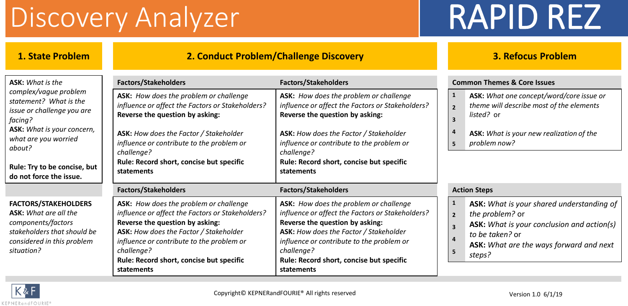## Discovery Analyzer RAPID REZ

### **1. State Problem 2. Conduct Problem/Challenge Discovery 3. Refocus Problem**

| <b>ASK:</b> What is the                                                                                                                                      | <b>Factors/Stakeholders</b>                                                                                                                                                                                                                                                                  | <b>Factors/Stakeholders</b>                                                                                                                                                                                                                                                                  | <b>Common Themes &amp; Core Issues</b>                                                                                                                                                                                                                             |  |  |  |  |  |  |
|--------------------------------------------------------------------------------------------------------------------------------------------------------------|----------------------------------------------------------------------------------------------------------------------------------------------------------------------------------------------------------------------------------------------------------------------------------------------|----------------------------------------------------------------------------------------------------------------------------------------------------------------------------------------------------------------------------------------------------------------------------------------------|--------------------------------------------------------------------------------------------------------------------------------------------------------------------------------------------------------------------------------------------------------------------|--|--|--|--|--|--|
| complex/vague problem<br>statement? What is the<br>issue or challenge you are<br>facing?                                                                     | ASK: How does the problem or challenge<br>influence or affect the Factors or Stakeholders?<br>Reverse the question by asking:                                                                                                                                                                | ASK: How does the problem or challenge<br>influence or affect the Factors or Stakeholders?<br>Reverse the question by asking:                                                                                                                                                                | ASK: What one concept/word/core issue or<br>1<br>theme will describe most of the elements<br>$\overline{2}$<br>listed? or<br>3                                                                                                                                     |  |  |  |  |  |  |
| ASK: What is your concern,<br>what are you worried<br>about?                                                                                                 | ASK: How does the Factor / Stakeholder<br>influence or contribute to the problem or<br>challenge?                                                                                                                                                                                            | <b>ASK:</b> How does the Factor / Stakeholder<br>influence or contribute to the problem or<br>challenge?                                                                                                                                                                                     | 4<br>ASK: What is your new realization of the<br>problem now?<br>5                                                                                                                                                                                                 |  |  |  |  |  |  |
| Rule: Try to be concise, but<br>do not force the issue.                                                                                                      | Rule: Record short, concise but specific<br>statements                                                                                                                                                                                                                                       | Rule: Record short, concise but specific<br>statements                                                                                                                                                                                                                                       |                                                                                                                                                                                                                                                                    |  |  |  |  |  |  |
|                                                                                                                                                              | <b>Factors/Stakeholders</b>                                                                                                                                                                                                                                                                  | <b>Factors/Stakeholders</b>                                                                                                                                                                                                                                                                  | <b>Action Steps</b>                                                                                                                                                                                                                                                |  |  |  |  |  |  |
| <b>FACTORS/STAKEHOLDERS</b><br><b>ASK:</b> What are all the<br>components/factors<br>stakeholders that should be<br>considered in this problem<br>situation? | ASK: How does the problem or challenge<br>influence or affect the Factors or Stakeholders?<br>Reverse the question by asking:<br>ASK: How does the Factor / Stakeholder<br>influence or contribute to the problem or<br>challenge?<br>Rule: Record short, concise but specific<br>statements | ASK: How does the problem or challenge<br>influence or affect the Factors or Stakeholders?<br>Reverse the question by asking:<br>ASK: How does the Factor / Stakeholder<br>influence or contribute to the problem or<br>challenge?<br>Rule: Record short, concise but specific<br>statements | <b>ASK:</b> What is your shared understanding of<br>$\mathbf{1}$<br>the problem? or<br>$\overline{2}$<br><b>ASK:</b> What is your conclusion and action(s)<br>$\overline{\mathbf{3}}$<br>to be taken? or<br>ASK: What are the ways forward and next<br>5<br>steps? |  |  |  |  |  |  |

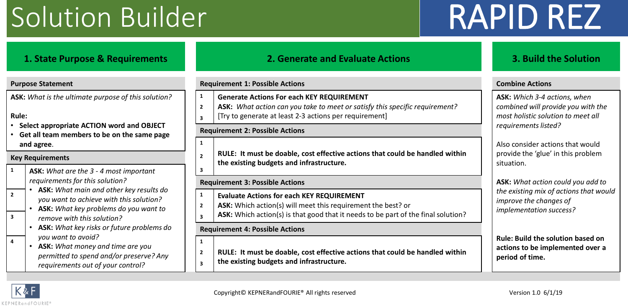## Solution Builder RAPID REZ

### **1. State Purpose & Requirements 2. Generate and Evaluate Actions 3. Build the Solution ASK:** *What is the ultimate purpose of this solution?* **Rule:**  • **Select appropriate ACTION word and OBJECT** • **Get all team members to be on the same page and agree**. **2 3 1 the existing budgets and infrastructure.** The existing budgets and infrastructure. **1 ASK:** *What are the 3 - 4 most important requirements for this solution?* **3**

- **ASK:** *What main and other key results do*
- **ASK:** *What key problems do you want to remove with this solution?* **3 3**
	- **ASK:** *What key risks or future problems do you want to avoid?*
- $\begin{array}{|c|c|c|c|}\n\hline\n\end{array}$  **.** ASK: What money and time are you  $\begin{array}{|c|c|c|c|}\n\hline\n\end{array}$ *permitted to spend and/or preserve? Any requirements out of your control?*

|                                                                                                                                                                                                   | <b>Purpose Statement</b>                                                                                                                                  |                                           | <b>Requirement 1: Possible Actions</b>                                                                                                                                                                                              | <b>Combine Actions</b>                                                                                                           |  |  |  |
|---------------------------------------------------------------------------------------------------------------------------------------------------------------------------------------------------|-----------------------------------------------------------------------------------------------------------------------------------------------------------|-------------------------------------------|-------------------------------------------------------------------------------------------------------------------------------------------------------------------------------------------------------------------------------------|----------------------------------------------------------------------------------------------------------------------------------|--|--|--|
| ASK: What is the ultimate purpose of this solution?<br>Rule:<br>Select appropriate ACTION word and OBJECT<br>Get all team members to be on the same page<br>and agree.<br><b>Key Requirements</b> |                                                                                                                                                           | $\overline{2}$<br>$\overline{\mathbf{3}}$ | <b>Generate Actions For each KEY REQUIREMENT</b><br>ASK: What action can you take to meet or satisfy this specific requirement?<br>[Try to generate at least 2-3 actions per requirement]<br><b>Requirement 2: Possible Actions</b> | ASK: Which 3-4 actions, when<br>combined will provide you with the<br>most holistic solution to meet all<br>requirements listed? |  |  |  |
|                                                                                                                                                                                                   |                                                                                                                                                           | 1<br>$\overline{\phantom{a}}$             | RULE: It must be doable, cost effective actions that could be handled within                                                                                                                                                        | Also consider actions that would<br>provide the 'glue' in this problem                                                           |  |  |  |
|                                                                                                                                                                                                   | <b>ASK:</b> What are the 3 - 4 most important<br>requirements for this solution?                                                                          |                                           | the existing budgets and infrastructure.<br><b>Requirement 3: Possible Actions</b>                                                                                                                                                  | situation.<br>ASK: What action could you add to                                                                                  |  |  |  |
|                                                                                                                                                                                                   | ASK: What main and other key results do<br>you want to achieve with this solution?<br>ASK: What key problems do you want to<br>remove with this solution? | $\overline{2}$<br>$\overline{\mathbf{3}}$ | <b>Evaluate Actions for each KEY REQUIREMENT</b><br>ASK: Which action(s) will meet this requirement the best? or<br>ASK: Which action(s) is that good that it needs to be part of the final solution?                               | the existing mix of actions that would<br>improve the changes of<br>implementation success?                                      |  |  |  |
|                                                                                                                                                                                                   | ASK: What key risks or future problems do                                                                                                                 |                                           | <b>Requirement 4: Possible Actions</b>                                                                                                                                                                                              |                                                                                                                                  |  |  |  |
|                                                                                                                                                                                                   | you want to avoid?<br>ASK: What money and time are you<br>permitted to spend and/or preserve? Any<br>requirements out of your control?                    | $\overline{2}$<br>$\overline{\mathbf{3}}$ | RULE: It must be doable, cost effective actions that could be handled within<br>the existing budgets and infrastructure.                                                                                                            | <b>Rule: Build the solution based on</b><br>actions to be implemented over a<br>period of time.                                  |  |  |  |

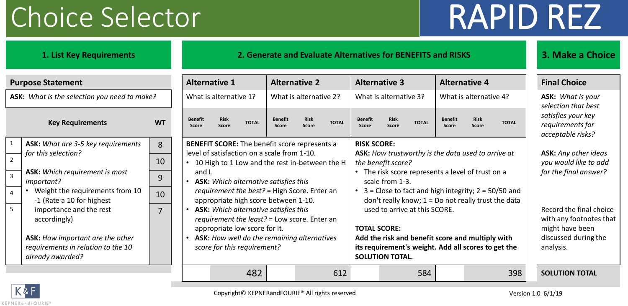## Choice Selector RAPID REZ

### **1. List Key Requirements 2. Generate and Evaluate Alternatives for BENEFITS and RISKS 3. Make a Choice**

| <b>Purpose Statement</b>                                                                          | <b>Alternative 1</b> |                         |                                                                                                             |                                                                                               | <b>Alternative 2</b>                         |                      |              | <b>Alternative 3</b>                                                                                             |                                                                                                                                                          | <b>Alternative 4</b> |                                |                      |                                                    | <b>Final Choice</b> |                                                             |  |
|---------------------------------------------------------------------------------------------------|----------------------|-------------------------|-------------------------------------------------------------------------------------------------------------|-----------------------------------------------------------------------------------------------|----------------------------------------------|----------------------|--------------|------------------------------------------------------------------------------------------------------------------|----------------------------------------------------------------------------------------------------------------------------------------------------------|----------------------|--------------------------------|----------------------|----------------------------------------------------|---------------------|-------------------------------------------------------------|--|
| ASK: What is the selection you need to make?                                                      |                      | What is alternative 1?  |                                                                                                             |                                                                                               | What is alternative 2?                       |                      |              |                                                                                                                  | What is alternative 3?                                                                                                                                   |                      | What is alternative 4?         |                      |                                                    |                     | <b>ASK:</b> What is your<br>selection that best             |  |
| <b>Key Requirements</b>                                                                           | <b>WT</b>            | <b>Benefit</b><br>Score | <b>Risk</b><br>Score                                                                                        | <b>TOTAL</b>                                                                                  | <b>Benefit</b><br>Score                      | <b>Risk</b><br>Score | <b>TOTAL</b> | <b>Benefit</b><br>Score                                                                                          | <b>Risk</b><br>Score                                                                                                                                     | <b>TOTAL</b>         | <b>Benefit</b><br><b>Score</b> | <b>Risk</b><br>Score | <b>TOTAL</b>                                       |                     | satisfies your key<br>requirements for<br>acceptable risks? |  |
| ASK: What are 3-5 key requirements                                                                | 8                    |                         |                                                                                                             | <b>BENEFIT SCORE:</b> The benefit score represents a                                          |                                              |                      |              | <b>RISK SCORE:</b>                                                                                               |                                                                                                                                                          |                      |                                |                      |                                                    |                     |                                                             |  |
| for this selection?                                                                               | 10                   | $\bullet$               |                                                                                                             | level of satisfaction on a scale from 1-10.<br>10 High to 1 Low and the rest in-between the H |                                              |                      |              | the benefit score?                                                                                               |                                                                                                                                                          |                      |                                |                      | ASK: How trustworthy is the data used to arrive at |                     | <b>ASK:</b> Any other ideas<br>you would like to add        |  |
| <b>ASK:</b> Which requirement is most<br>important?                                               | 9                    | and L                   |                                                                                                             |                                                                                               | <b>ASK:</b> Which alternative satisfies this |                      |              | The risk score represents a level of trust on a<br>scale from 1-3.                                               |                                                                                                                                                          |                      |                                |                      |                                                    |                     | for the final answer?                                       |  |
| Weight the requirements from 10<br>-1 (Rate a 10 for highest                                      | 10                   |                         |                                                                                                             | requirement the best? = High Score. Enter an<br>appropriate high score between 1-10.          |                                              |                      |              | $3 =$ Close to fact and high integrity; $2 = 50/50$ and<br>don't really know; $1 = Do$ not really trust the data |                                                                                                                                                          |                      |                                |                      |                                                    |                     |                                                             |  |
| importance and the rest<br>accordingly)                                                           | 7                    |                         |                                                                                                             | <b>ASK:</b> Which alternative satisfies this<br>requirement the least? = Low score. Enter an  |                                              |                      |              | used to arrive at this SCORE.                                                                                    |                                                                                                                                                          |                      |                                |                      |                                                    |                     | Record the final choice<br>with any footnotes that          |  |
| <b>ASK:</b> How important are the other<br>requirements in relation to the 10<br>already awarded? |                      |                         | appropriate low score for it.<br>ASK: How well do the remaining alternatives<br>score for this requirement? |                                                                                               |                                              |                      |              |                                                                                                                  | <b>TOTAL SCORE:</b><br>Add the risk and benefit score and multiply with<br>its requirement's weight. Add all scores to get the<br><b>SOLUTION TOTAL.</b> |                      |                                |                      |                                                    |                     | might have been<br>discussed during the<br>analysis.        |  |
|                                                                                                   |                      |                         |                                                                                                             | 482                                                                                           |                                              |                      | 612          |                                                                                                                  |                                                                                                                                                          | 584                  |                                |                      | 398                                                |                     | <b>SOLUTION TOTAL</b>                                       |  |

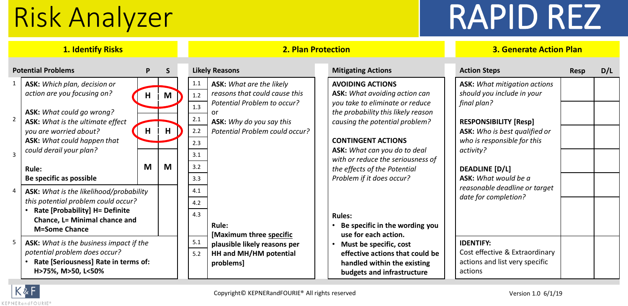# Risk Analyzer RAPID REZ

| <b>1. Identify Risks</b> |                                                                                                                                                                                                      |        |              |                                 | <b>2. Plan Protection</b>                                                                                                                                                  | <b>3. Generate Action Plan</b>                                                                                                                                                                          |                                                                                                                                                                                  |             |     |  |
|--------------------------|------------------------------------------------------------------------------------------------------------------------------------------------------------------------------------------------------|--------|--------------|---------------------------------|----------------------------------------------------------------------------------------------------------------------------------------------------------------------------|---------------------------------------------------------------------------------------------------------------------------------------------------------------------------------------------------------|----------------------------------------------------------------------------------------------------------------------------------------------------------------------------------|-------------|-----|--|
|                          | <b>Potential Problems</b>                                                                                                                                                                            | P      | <sub>S</sub> |                                 | <b>Likely Reasons</b>                                                                                                                                                      | <b>Mitigating Actions</b>                                                                                                                                                                               | <b>Action Steps</b>                                                                                                                                                              | <b>Resp</b> | D/L |  |
| $\overline{2}$           | ASK: Which plan, decision or<br>action are you focusing on?<br>ASK: What could go wrong?<br><b>ASK:</b> What is the ultimate effect<br>you are worried about?<br><b>ASK:</b> What could happen that  | H<br>H | M<br>H       | 1.1<br>1.2<br>1.3<br>2.1<br>2.2 | <b>ASK:</b> What are the likely<br>reasons that could cause this<br>Potential Problem to occur?<br>or<br><b>ASK:</b> Why do you say this<br>Potential Problem could occur? | <b>AVOIDING ACTIONS</b><br><b>ASK:</b> What avoiding action can<br>you take to eliminate or reduce<br>the probability this likely reason<br>causing the potential problem?<br><b>CONTINGENT ACTIONS</b> | <b>ASK: What mitigation actions</b><br>should you include in your<br>final plan?<br><b>RESPONSIBILITY [Resp]</b><br>ASK: Who is best qualified or<br>who is responsible for this |             |     |  |
| $\overline{3}$           | could derail your plan?<br><b>Rule:</b>                                                                                                                                                              | M      | M            | 2.3<br>3.1<br>3.2<br>3.3        |                                                                                                                                                                            | ASK: What can you do to deal<br>with or reduce the seriousness of<br>the effects of the Potential<br>Problem if it does occur?                                                                          | activity?<br><b>DEADLINE [D/L]</b><br>ASK: What would be a                                                                                                                       |             |     |  |
|                          | Be specific as possible<br>ASK: What is the likelihood/probability<br>this potential problem could occur?<br>Rate [Probability] H= Definite<br>Chance, L= Minimal chance and<br><b>M=Some Chance</b> |        |              | 4.1<br>4.2<br>4.3               | <b>Rule:</b><br>[Maximum three specific                                                                                                                                    | <b>Rules:</b><br>Be specific in the wording you<br>use for each action.                                                                                                                                 | reasonable deadline or target<br>date for completion?                                                                                                                            |             |     |  |
| -5                       | ASK: What is the business impact if the<br>potential problem does occur?<br>Rate [Seriousness] Rate in terms of:<br>H>75%, M>50, L<50%                                                               |        |              | 5.1<br>5.2                      | plausible likely reasons per<br>HH and MH/HM potential<br>problems]                                                                                                        | Must be specific, cost<br>effective actions that could be<br>handled within the existing<br>budgets and infrastructure                                                                                  | <b>IDENTIFY:</b><br>Cost effective & Extraordinary<br>actions and list very specific<br>actions                                                                                  |             |     |  |